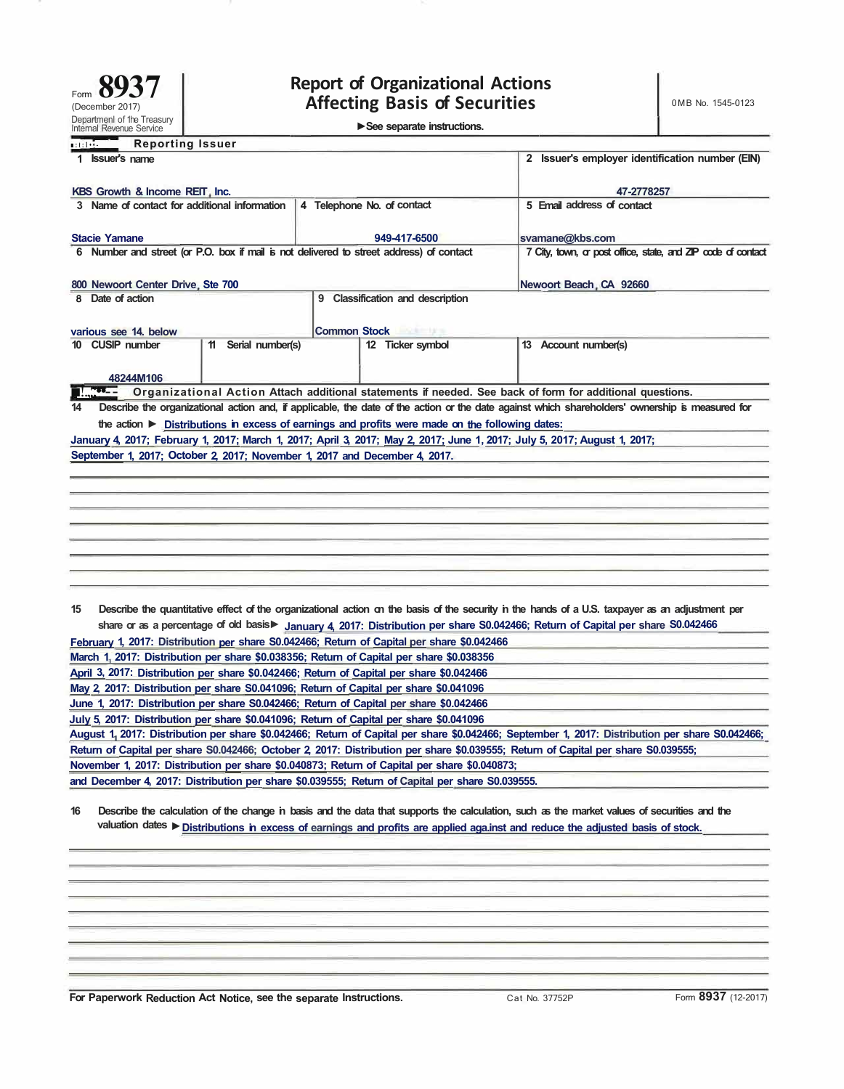Internal Revenue Service **► See separate instructions.** 

| internal Revenue Service                                                                                        |                     |                     | <u>occ</u> sebarate instructions.  |                                                                                                                                                                                                                                                                                    |
|-----------------------------------------------------------------------------------------------------------------|---------------------|---------------------|------------------------------------|------------------------------------------------------------------------------------------------------------------------------------------------------------------------------------------------------------------------------------------------------------------------------------|
| <br><b>Reporting Issuer</b>                                                                                     |                     |                     |                                    |                                                                                                                                                                                                                                                                                    |
| 1 <b>Issuer's name</b>                                                                                          |                     |                     |                                    | 2 Issuer's employer identification number (EIN)                                                                                                                                                                                                                                    |
| KBS Growth & Income REIT, Inc.                                                                                  |                     |                     |                                    | 47-2778257                                                                                                                                                                                                                                                                         |
| 3 Name of contact for additional information                                                                    |                     |                     | 4 Telephone No. of contact         | 5 Email address of contact                                                                                                                                                                                                                                                         |
|                                                                                                                 |                     |                     |                                    |                                                                                                                                                                                                                                                                                    |
| <b>Stacie Yamane</b><br>6 Number and street (or P.O. box if mail is not delivered to street address) of contact |                     |                     | 949-417-6500                       | svamane@kbs.com<br>7 City, town, or post office, state, and ZIP code of contact                                                                                                                                                                                                    |
|                                                                                                                 |                     |                     |                                    |                                                                                                                                                                                                                                                                                    |
| 800 Newoort Center Drive, Ste 700                                                                               |                     |                     |                                    | Newoort Beach, CA 92660                                                                                                                                                                                                                                                            |
| 8 Date of action                                                                                                |                     |                     | 9 Classification and description   |                                                                                                                                                                                                                                                                                    |
|                                                                                                                 |                     |                     |                                    |                                                                                                                                                                                                                                                                                    |
| various see 14. below<br>10 CUSIP number                                                                        | 11 Serial number(s) | <b>Common Stock</b> | <b>MARCINE</b><br>12 Ticker symbol | 13 Account number(s)                                                                                                                                                                                                                                                               |
|                                                                                                                 |                     |                     |                                    |                                                                                                                                                                                                                                                                                    |
| 48244M106                                                                                                       |                     |                     |                                    |                                                                                                                                                                                                                                                                                    |
| $100 - 1$                                                                                                       |                     |                     |                                    | Organizational Action Attach additional statements if needed. See back of form for additional questions.                                                                                                                                                                           |
| 14<br>the action ► Distributions in excess of earnings and profits were made on the following dates:            |                     |                     |                                    | Describe the organizational action and, if applicable, the date of the action or the date against which shareholders' ownership is measured for                                                                                                                                    |
|                                                                                                                 |                     |                     |                                    | January 4, 2017; February 1, 2017; March 1, 2017; April 3, 2017; May 2, 2017; June 1, 2017; July 5, 2017; August 1, 2017;                                                                                                                                                          |
| September 1, 2017; October 2, 2017; November 1, 2017 and December 4, 2017.                                      |                     |                     |                                    |                                                                                                                                                                                                                                                                                    |
|                                                                                                                 |                     |                     |                                    |                                                                                                                                                                                                                                                                                    |
|                                                                                                                 |                     |                     |                                    |                                                                                                                                                                                                                                                                                    |
|                                                                                                                 |                     |                     |                                    |                                                                                                                                                                                                                                                                                    |
|                                                                                                                 |                     |                     |                                    |                                                                                                                                                                                                                                                                                    |
|                                                                                                                 |                     |                     |                                    |                                                                                                                                                                                                                                                                                    |
|                                                                                                                 |                     |                     |                                    |                                                                                                                                                                                                                                                                                    |
|                                                                                                                 |                     |                     |                                    |                                                                                                                                                                                                                                                                                    |
|                                                                                                                 |                     |                     |                                    |                                                                                                                                                                                                                                                                                    |
| 15                                                                                                              |                     |                     |                                    | Describe the quantitative effect of the organizational action on the basis of the security in the hands of a U.S. taxpayer as an adjustment per<br>share or as a percentage of old basis▶ January 4, 2017: Distribution per share S0.042466; Return of Capital per share S0.042466 |
| February 1, 2017: Distribution per share S0.042466; Return of Capital per share \$0.042466                      |                     |                     |                                    |                                                                                                                                                                                                                                                                                    |
| March 1, 2017: Distribution per share \$0.038356; Return of Capital per share \$0.038356                        |                     |                     |                                    |                                                                                                                                                                                                                                                                                    |
| April 3, 2017: Distribution per share \$0.042466; Return of Capital per share \$0.042466                        |                     |                     |                                    |                                                                                                                                                                                                                                                                                    |
| May 2, 2017: Distribution per share S0.041096; Return of Capital per share \$0.041096                           |                     |                     |                                    |                                                                                                                                                                                                                                                                                    |
| June 1, 2017: Distribution per share S0.042466; Return of Capital per share \$0.042466                          |                     |                     |                                    |                                                                                                                                                                                                                                                                                    |
| July 5, 2017: Distribution per share \$0.041096; Return of Capital per share \$0.041096                         |                     |                     |                                    | August 1, 2017: Distribution per share \$0.042466; Return of Capital per share \$0.042466; September 1, 2017: Distribution per share S0.042466;                                                                                                                                    |
|                                                                                                                 |                     |                     |                                    | Return of Capital per share S0.042466; October 2, 2017: Distribution per share \$0.039555; Return of Capital per share S0.039555;                                                                                                                                                  |
| November 1, 2017: Distribution per share \$0.040873; Return of Capital per share \$0.040873;                    |                     |                     |                                    |                                                                                                                                                                                                                                                                                    |
| and December 4, 2017: Distribution per share \$0.039555; Return of Capital per share S0.039555.                 |                     |                     |                                    |                                                                                                                                                                                                                                                                                    |
| 16                                                                                                              |                     |                     |                                    |                                                                                                                                                                                                                                                                                    |
|                                                                                                                 |                     |                     |                                    | Describe the calculation of the change in basis and the data that supports the calculation, such as the market values of securities and the<br>valuation dates ▶ Distributions in excess of earnings and profits are applied aga.inst and reduce the adjusted basis of stock.      |
|                                                                                                                 |                     |                     |                                    |                                                                                                                                                                                                                                                                                    |
|                                                                                                                 |                     |                     |                                    |                                                                                                                                                                                                                                                                                    |
|                                                                                                                 |                     |                     |                                    |                                                                                                                                                                                                                                                                                    |
|                                                                                                                 |                     |                     |                                    |                                                                                                                                                                                                                                                                                    |
|                                                                                                                 |                     |                     |                                    |                                                                                                                                                                                                                                                                                    |
|                                                                                                                 |                     |                     |                                    |                                                                                                                                                                                                                                                                                    |
|                                                                                                                 |                     |                     |                                    |                                                                                                                                                                                                                                                                                    |

**For Paperwork Reduction Act Notice, see the separate Instructions. Cat No. 37752P Form 8937 (12-2017)**